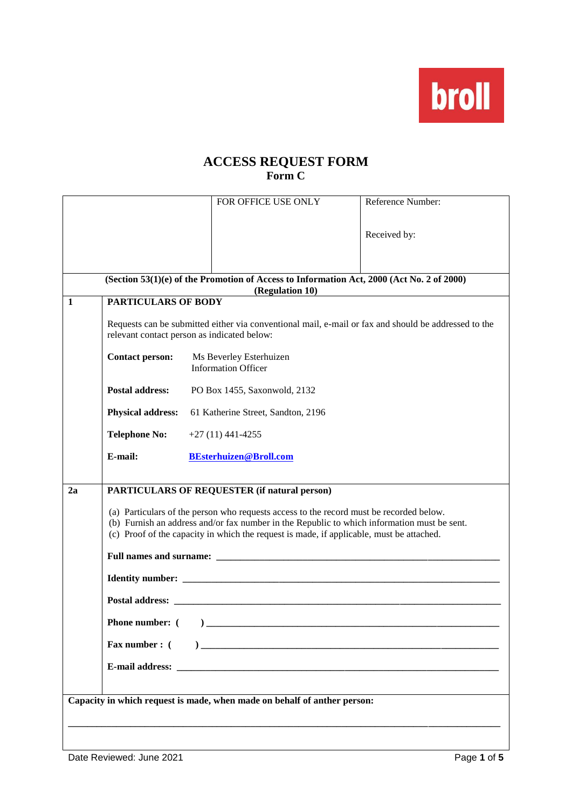broll

## **ACCESS REQUEST FORM Form C**

|                                                                          |                                                                                                                                                                                                                                                                                    | FOR OFFICE USE ONLY                                   | Reference Number: |  |  |  |  |  |
|--------------------------------------------------------------------------|------------------------------------------------------------------------------------------------------------------------------------------------------------------------------------------------------------------------------------------------------------------------------------|-------------------------------------------------------|-------------------|--|--|--|--|--|
|                                                                          |                                                                                                                                                                                                                                                                                    |                                                       |                   |  |  |  |  |  |
|                                                                          |                                                                                                                                                                                                                                                                                    |                                                       | Received by:      |  |  |  |  |  |
|                                                                          | (Section 53(1)(e) of the Promotion of Access to Information Act, 2000 (Act No. 2 of 2000)                                                                                                                                                                                          |                                                       |                   |  |  |  |  |  |
| $\mathbf{1}$                                                             | <b>PARTICULARS OF BODY</b>                                                                                                                                                                                                                                                         | (Regulation 10)                                       |                   |  |  |  |  |  |
|                                                                          | Requests can be submitted either via conventional mail, e-mail or fax and should be addressed to the<br>relevant contact person as indicated below:                                                                                                                                |                                                       |                   |  |  |  |  |  |
|                                                                          | <b>Contact person:</b>                                                                                                                                                                                                                                                             | Ms Beverley Esterhuizen<br><b>Information Officer</b> |                   |  |  |  |  |  |
|                                                                          | <b>Postal address:</b><br>PO Box 1455, Saxonwold, 2132                                                                                                                                                                                                                             |                                                       |                   |  |  |  |  |  |
|                                                                          | <b>Physical address:</b><br>61 Katherine Street, Sandton, 2196                                                                                                                                                                                                                     |                                                       |                   |  |  |  |  |  |
|                                                                          | <b>Telephone No:</b>                                                                                                                                                                                                                                                               | $+27(11)441-4255$                                     |                   |  |  |  |  |  |
|                                                                          | E-mail:                                                                                                                                                                                                                                                                            | <b>BEsterhuizen@Broll.com</b>                         |                   |  |  |  |  |  |
|                                                                          |                                                                                                                                                                                                                                                                                    |                                                       |                   |  |  |  |  |  |
| 2a                                                                       |                                                                                                                                                                                                                                                                                    | PARTICULARS OF REQUESTER (if natural person)          |                   |  |  |  |  |  |
|                                                                          | (a) Particulars of the person who requests access to the record must be recorded below.<br>(b) Furnish an address and/or fax number in the Republic to which information must be sent.<br>(c) Proof of the capacity in which the request is made, if applicable, must be attached. |                                                       |                   |  |  |  |  |  |
|                                                                          |                                                                                                                                                                                                                                                                                    |                                                       |                   |  |  |  |  |  |
|                                                                          |                                                                                                                                                                                                                                                                                    |                                                       |                   |  |  |  |  |  |
|                                                                          |                                                                                                                                                                                                                                                                                    |                                                       |                   |  |  |  |  |  |
|                                                                          | <b>Phone number:</b> $($ $)$                                                                                                                                                                                                                                                       |                                                       |                   |  |  |  |  |  |
|                                                                          | <b>Fax number:</b> (                                                                                                                                                                                                                                                               |                                                       |                   |  |  |  |  |  |
|                                                                          |                                                                                                                                                                                                                                                                                    |                                                       |                   |  |  |  |  |  |
| Capacity in which request is made, when made on behalf of anther person: |                                                                                                                                                                                                                                                                                    |                                                       |                   |  |  |  |  |  |
|                                                                          |                                                                                                                                                                                                                                                                                    |                                                       |                   |  |  |  |  |  |
|                                                                          |                                                                                                                                                                                                                                                                                    |                                                       |                   |  |  |  |  |  |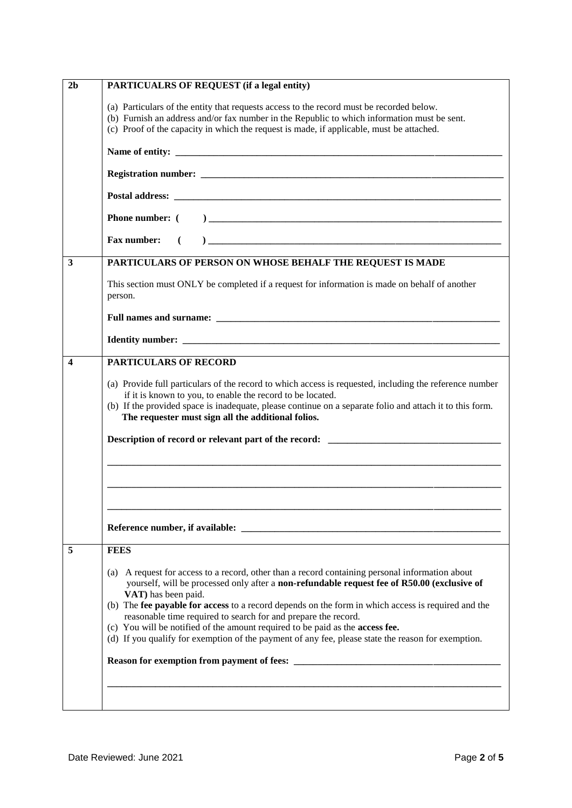| 2 <sub>b</sub>          | PARTICUALRS OF REQUEST (if a legal entity)                                                                                                                                                                                                                                                                                                                                                                                                                                                                                                                                              |  |  |  |  |
|-------------------------|-----------------------------------------------------------------------------------------------------------------------------------------------------------------------------------------------------------------------------------------------------------------------------------------------------------------------------------------------------------------------------------------------------------------------------------------------------------------------------------------------------------------------------------------------------------------------------------------|--|--|--|--|
|                         | (a) Particulars of the entity that requests access to the record must be recorded below.<br>(b) Furnish an address and/or fax number in the Republic to which information must be sent.<br>(c) Proof of the capacity in which the request is made, if applicable, must be attached.                                                                                                                                                                                                                                                                                                     |  |  |  |  |
|                         |                                                                                                                                                                                                                                                                                                                                                                                                                                                                                                                                                                                         |  |  |  |  |
|                         |                                                                                                                                                                                                                                                                                                                                                                                                                                                                                                                                                                                         |  |  |  |  |
|                         |                                                                                                                                                                                                                                                                                                                                                                                                                                                                                                                                                                                         |  |  |  |  |
|                         |                                                                                                                                                                                                                                                                                                                                                                                                                                                                                                                                                                                         |  |  |  |  |
|                         | $\begin{picture}(180,10) \put(0,0){\vector(1,0){100}} \put(10,0){\vector(1,0){100}} \put(10,0){\vector(1,0){100}} \put(10,0){\vector(1,0){100}} \put(10,0){\vector(1,0){100}} \put(10,0){\vector(1,0){100}} \put(10,0){\vector(1,0){100}} \put(10,0){\vector(1,0){100}} \put(10,0){\vector(1,0){100}} \put(10,0){\vector(1,0){100}} \put(10,0){\vector(1,0){100}}$<br>Fax number:                                                                                                                                                                                                       |  |  |  |  |
| 3                       | PARTICULARS OF PERSON ON WHOSE BEHALF THE REQUEST IS MADE                                                                                                                                                                                                                                                                                                                                                                                                                                                                                                                               |  |  |  |  |
|                         | This section must ONLY be completed if a request for information is made on behalf of another<br>person.                                                                                                                                                                                                                                                                                                                                                                                                                                                                                |  |  |  |  |
|                         | Full names and surname: the contract of the contract of the contract of the contract of the contract of the contract of the contract of the contract of the contract of the contract of the contract of the contract of the co                                                                                                                                                                                                                                                                                                                                                          |  |  |  |  |
|                         |                                                                                                                                                                                                                                                                                                                                                                                                                                                                                                                                                                                         |  |  |  |  |
| $\overline{\mathbf{4}}$ | <b>PARTICULARS OF RECORD</b>                                                                                                                                                                                                                                                                                                                                                                                                                                                                                                                                                            |  |  |  |  |
|                         | (a) Provide full particulars of the record to which access is requested, including the reference number<br>if it is known to you, to enable the record to be located.<br>(b) If the provided space is inadequate, please continue on a separate folio and attach it to this form.<br>The requester must sign all the additional folios.                                                                                                                                                                                                                                                 |  |  |  |  |
|                         | Description of record or relevant part of the record: ___________________________                                                                                                                                                                                                                                                                                                                                                                                                                                                                                                       |  |  |  |  |
|                         |                                                                                                                                                                                                                                                                                                                                                                                                                                                                                                                                                                                         |  |  |  |  |
|                         |                                                                                                                                                                                                                                                                                                                                                                                                                                                                                                                                                                                         |  |  |  |  |
|                         |                                                                                                                                                                                                                                                                                                                                                                                                                                                                                                                                                                                         |  |  |  |  |
| 5                       | <b>FEES</b>                                                                                                                                                                                                                                                                                                                                                                                                                                                                                                                                                                             |  |  |  |  |
|                         | A request for access to a record, other than a record containing personal information about<br>(a)<br>yourself, will be processed only after a non-refundable request fee of R50.00 (exclusive of<br>VAT) has been paid.<br>(b) The fee payable for access to a record depends on the form in which access is required and the<br>reasonable time required to search for and prepare the record.<br>(c) You will be notified of the amount required to be paid as the access fee.<br>(d) If you qualify for exemption of the payment of any fee, please state the reason for exemption. |  |  |  |  |
|                         |                                                                                                                                                                                                                                                                                                                                                                                                                                                                                                                                                                                         |  |  |  |  |
|                         |                                                                                                                                                                                                                                                                                                                                                                                                                                                                                                                                                                                         |  |  |  |  |
|                         |                                                                                                                                                                                                                                                                                                                                                                                                                                                                                                                                                                                         |  |  |  |  |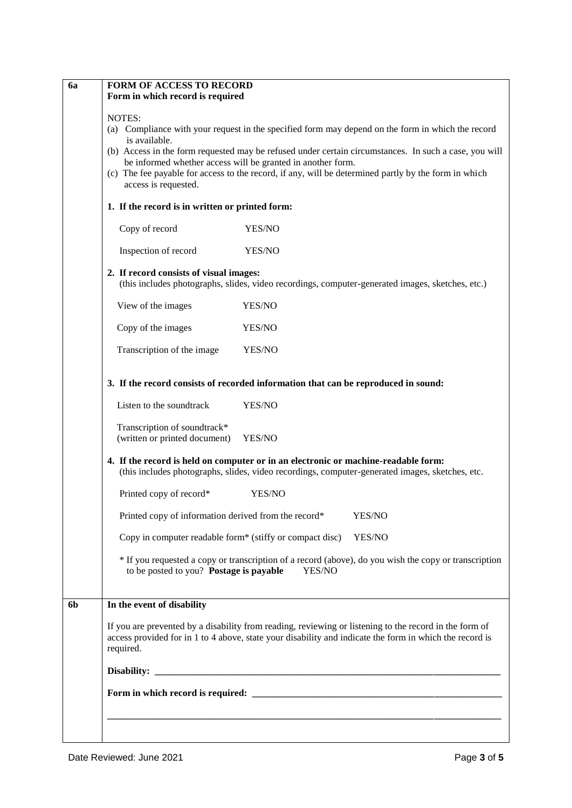| 6a             | <b>FORM OF ACCESS TO RECORD</b><br>Form in which record is required                                                                                                                                                                                                                                                                                                                                                                                                                     |  |  |  |  |  |
|----------------|-----------------------------------------------------------------------------------------------------------------------------------------------------------------------------------------------------------------------------------------------------------------------------------------------------------------------------------------------------------------------------------------------------------------------------------------------------------------------------------------|--|--|--|--|--|
|                | NOTES:<br>(a) Compliance with your request in the specified form may depend on the form in which the record<br>is available.<br>(b) Access in the form requested may be refused under certain circumstances. In such a case, you will<br>be informed whether access will be granted in another form.<br>(c) The fee payable for access to the record, if any, will be determined partly by the form in which<br>access is requested.<br>1. If the record is in written or printed form: |  |  |  |  |  |
|                | Copy of record<br>YES/NO                                                                                                                                                                                                                                                                                                                                                                                                                                                                |  |  |  |  |  |
|                | Inspection of record<br>YES/NO                                                                                                                                                                                                                                                                                                                                                                                                                                                          |  |  |  |  |  |
|                | 2. If record consists of visual images:<br>(this includes photographs, slides, video recordings, computer-generated images, sketches, etc.)                                                                                                                                                                                                                                                                                                                                             |  |  |  |  |  |
|                | YES/NO<br>View of the images                                                                                                                                                                                                                                                                                                                                                                                                                                                            |  |  |  |  |  |
|                | Copy of the images<br>YES/NO                                                                                                                                                                                                                                                                                                                                                                                                                                                            |  |  |  |  |  |
|                | Transcription of the image<br>YES/NO                                                                                                                                                                                                                                                                                                                                                                                                                                                    |  |  |  |  |  |
|                | 3. If the record consists of recorded information that can be reproduced in sound:                                                                                                                                                                                                                                                                                                                                                                                                      |  |  |  |  |  |
|                | Listen to the soundtrack<br>YES/NO                                                                                                                                                                                                                                                                                                                                                                                                                                                      |  |  |  |  |  |
|                | Transcription of soundtrack*<br>(written or printed document)<br>YES/NO                                                                                                                                                                                                                                                                                                                                                                                                                 |  |  |  |  |  |
|                | 4. If the record is held on computer or in an electronic or machine-readable form:<br>(this includes photographs, slides, video recordings, computer-generated images, sketches, etc.                                                                                                                                                                                                                                                                                                   |  |  |  |  |  |
|                | Printed copy of record*<br>YES/NO                                                                                                                                                                                                                                                                                                                                                                                                                                                       |  |  |  |  |  |
|                | Printed copy of information derived from the record*<br>YES/NO                                                                                                                                                                                                                                                                                                                                                                                                                          |  |  |  |  |  |
|                | Copy in computer readable form* (stiffy or compact disc)<br>YES/NO                                                                                                                                                                                                                                                                                                                                                                                                                      |  |  |  |  |  |
|                | * If you requested a copy or transcription of a record (above), do you wish the copy or transcription<br>to be posted to you? Postage is payable<br>YES/NO                                                                                                                                                                                                                                                                                                                              |  |  |  |  |  |
| 6 <sub>b</sub> | <u> 1980 - Johann Stoff, deutscher Stoffen und der Stoffen und der Stoffen und der Stoffen und der Stoffen und der</u><br>In the event of disability                                                                                                                                                                                                                                                                                                                                    |  |  |  |  |  |
|                | If you are prevented by a disability from reading, reviewing or listening to the record in the form of<br>access provided for in 1 to 4 above, state your disability and indicate the form in which the record is<br>required.                                                                                                                                                                                                                                                          |  |  |  |  |  |
|                |                                                                                                                                                                                                                                                                                                                                                                                                                                                                                         |  |  |  |  |  |
|                |                                                                                                                                                                                                                                                                                                                                                                                                                                                                                         |  |  |  |  |  |
|                |                                                                                                                                                                                                                                                                                                                                                                                                                                                                                         |  |  |  |  |  |
|                |                                                                                                                                                                                                                                                                                                                                                                                                                                                                                         |  |  |  |  |  |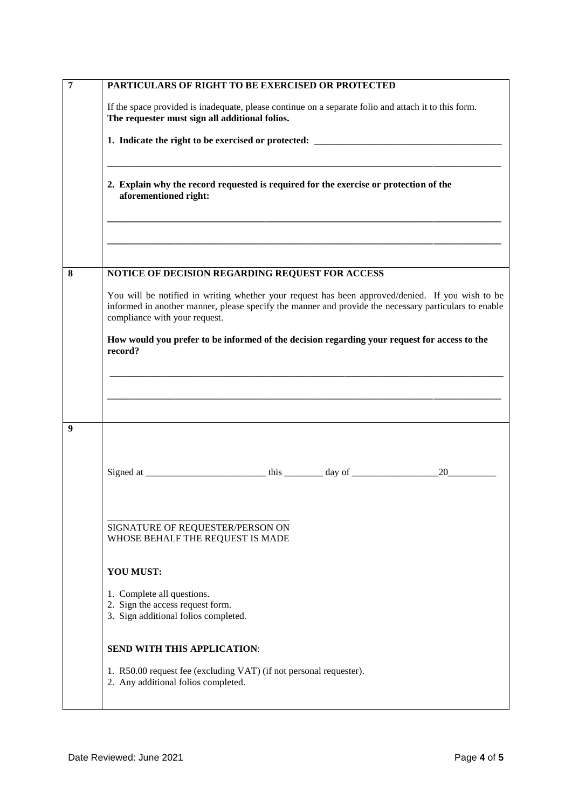| 7                                                                                                              | PARTICULARS OF RIGHT TO BE EXERCISED OR PROTECTED                                                                                                                                                                                          |  |  |  |  |  |  |
|----------------------------------------------------------------------------------------------------------------|--------------------------------------------------------------------------------------------------------------------------------------------------------------------------------------------------------------------------------------------|--|--|--|--|--|--|
|                                                                                                                | If the space provided is inadequate, please continue on a separate folio and attach it to this form.<br>The requester must sign all additional folios.                                                                                     |  |  |  |  |  |  |
|                                                                                                                | 1. Indicate the right to be exercised or protected: _____________________________                                                                                                                                                          |  |  |  |  |  |  |
|                                                                                                                |                                                                                                                                                                                                                                            |  |  |  |  |  |  |
| 2. Explain why the record requested is required for the exercise or protection of the<br>aforementioned right: |                                                                                                                                                                                                                                            |  |  |  |  |  |  |
|                                                                                                                |                                                                                                                                                                                                                                            |  |  |  |  |  |  |
|                                                                                                                |                                                                                                                                                                                                                                            |  |  |  |  |  |  |
| 8                                                                                                              | NOTICE OF DECISION REGARDING REQUEST FOR ACCESS                                                                                                                                                                                            |  |  |  |  |  |  |
|                                                                                                                | You will be notified in writing whether your request has been approved/denied. If you wish to be<br>informed in another manner, please specify the manner and provide the necessary particulars to enable<br>compliance with your request. |  |  |  |  |  |  |
|                                                                                                                | How would you prefer to be informed of the decision regarding your request for access to the<br>record?                                                                                                                                    |  |  |  |  |  |  |
|                                                                                                                |                                                                                                                                                                                                                                            |  |  |  |  |  |  |
|                                                                                                                |                                                                                                                                                                                                                                            |  |  |  |  |  |  |
|                                                                                                                |                                                                                                                                                                                                                                            |  |  |  |  |  |  |
| 9                                                                                                              |                                                                                                                                                                                                                                            |  |  |  |  |  |  |
|                                                                                                                | 20                                                                                                                                                                                                                                         |  |  |  |  |  |  |
|                                                                                                                |                                                                                                                                                                                                                                            |  |  |  |  |  |  |
|                                                                                                                |                                                                                                                                                                                                                                            |  |  |  |  |  |  |
|                                                                                                                | SIGNATURE OF REQUESTER/PERSON ON<br>WHOSE BEHALF THE REQUEST IS MADE                                                                                                                                                                       |  |  |  |  |  |  |
|                                                                                                                | <b>YOU MUST:</b>                                                                                                                                                                                                                           |  |  |  |  |  |  |
|                                                                                                                | 1. Complete all questions.<br>2. Sign the access request form.                                                                                                                                                                             |  |  |  |  |  |  |
|                                                                                                                | 3. Sign additional folios completed.                                                                                                                                                                                                       |  |  |  |  |  |  |
|                                                                                                                | <b>SEND WITH THIS APPLICATION:</b>                                                                                                                                                                                                         |  |  |  |  |  |  |
|                                                                                                                | 1. R50.00 request fee (excluding VAT) (if not personal requester).<br>2. Any additional folios completed.                                                                                                                                  |  |  |  |  |  |  |